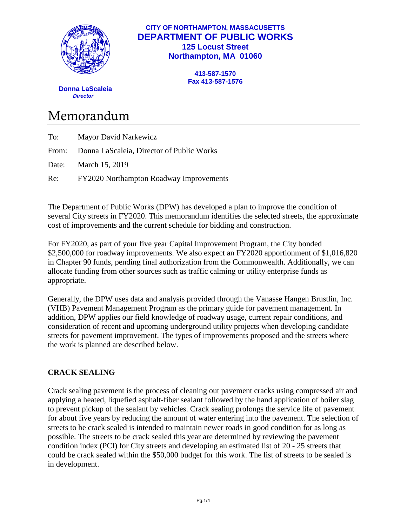

# **CITY OF NORTHAMPTON, MASSACUSETTS DEPARTMENT OF PUBLIC WORKS 125 Locust Street Northampton, MA 01060**

**413-587-1570 Fax 413-587-1576**

 **Donna LaScaleia**  *Director*

# Memorandum

| To: | <b>Mayor David Narkewicz</b>                    |
|-----|-------------------------------------------------|
|     | From: Donna LaScaleia, Director of Public Works |
|     | Date: March 15, 2019                            |
|     | Re: FY2020 Northampton Roadway Improvements     |
|     |                                                 |

The Department of Public Works (DPW) has developed a plan to improve the condition of several City streets in FY2020. This memorandum identifies the selected streets, the approximate cost of improvements and the current schedule for bidding and construction.

For FY2020, as part of your five year Capital Improvement Program, the City bonded \$2,500,000 for roadway improvements. We also expect an FY2020 apportionment of \$1,016,820 in Chapter 90 funds, pending final authorization from the Commonwealth. Additionally, we can allocate funding from other sources such as traffic calming or utility enterprise funds as appropriate.

Generally, the DPW uses data and analysis provided through the Vanasse Hangen Brustlin, Inc. (VHB) Pavement Management Program as the primary guide for pavement management. In addition, DPW applies our field knowledge of roadway usage, current repair conditions, and consideration of recent and upcoming underground utility projects when developing candidate streets for pavement improvement. The types of improvements proposed and the streets where the work is planned are described below.

# **CRACK SEALING**

Crack sealing pavement is the process of cleaning out pavement cracks using compressed air and applying a heated, liquefied asphalt-fiber sealant followed by the hand application of boiler slag to prevent pickup of the sealant by vehicles. Crack sealing prolongs the service life of pavement for about five years by reducing the amount of water entering into the pavement. The selection of streets to be crack sealed is intended to maintain newer roads in good condition for as long as possible. The streets to be crack sealed this year are determined by reviewing the pavement condition index (PCI) for City streets and developing an estimated list of 20 - 25 streets that could be crack sealed within the \$50,000 budget for this work. The list of streets to be sealed is in development.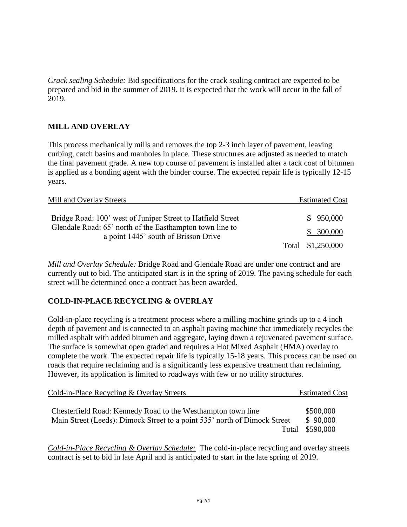*Crack sealing Schedule:* Bid specifications for the crack sealing contract are expected to be prepared and bid in the summer of 2019. It is expected that the work will occur in the fall of 2019.

# **MILL AND OVERLAY**

This process mechanically mills and removes the top 2-3 inch layer of pavement, leaving curbing, catch basins and manholes in place. These structures are adjusted as needed to match the final pavement grade. A new top course of pavement is installed after a tack coat of bitumen is applied as a bonding agent with the binder course. The expected repair life is typically 12-15 years.

| Mill and Overlay Streets                                                                                                                                        |  | <b>Estimated Cost</b> |  |
|-----------------------------------------------------------------------------------------------------------------------------------------------------------------|--|-----------------------|--|
| Bridge Road: 100' west of Juniper Street to Hatfield Street<br>Glendale Road: 65' north of the Easthampton town line to<br>a point 1445' south of Brisson Drive |  | \$950,000             |  |
|                                                                                                                                                                 |  | \$300,000             |  |
|                                                                                                                                                                 |  | Total \$1,250,000     |  |

*Mill and Overlay Schedule:* Bridge Road and Glendale Road are under one contract and are currently out to bid. The anticipated start is in the spring of 2019. The paving schedule for each street will be determined once a contract has been awarded.

#### **COLD-IN-PLACE RECYCLING & OVERLAY**

Cold-in-place recycling is a treatment process where a milling machine grinds up to a 4 inch depth of pavement and is connected to an asphalt paving machine that immediately recycles the milled asphalt with added bitumen and aggregate, laying down a rejuvenated pavement surface. The surface is somewhat open graded and requires a Hot Mixed Asphalt (HMA) overlay to complete the work. The expected repair life is typically 15-18 years. This process can be used on roads that require reclaiming and is a significantly less expensive treatment than reclaiming. However, its application is limited to roadways with few or no utility structures.

| Cold-in-Place Recycling & Overlay Streets                                 | <b>Estimated Cost</b> |
|---------------------------------------------------------------------------|-----------------------|
| Chesterfield Road: Kennedy Road to the Westhampton town line              | \$500,000             |
| Main Street (Leeds): Dimock Street to a point 535' north of Dimock Street | \$90,000              |
|                                                                           | Total \$590,000       |

*Cold-in-Place Recycling & Overlay Schedule:* The cold-in-place recycling and overlay streets contract is set to bid in late April and is anticipated to start in the late spring of 2019.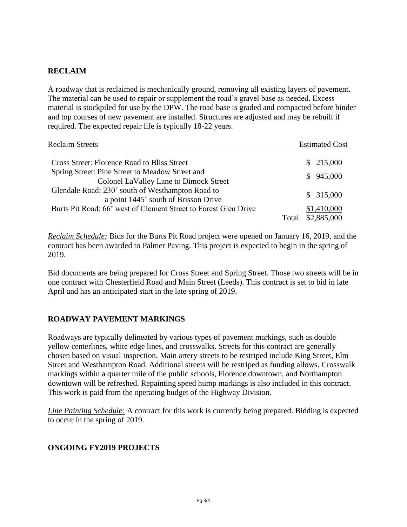# **RECLAIM**

A roadway that is reclaimed is mechanically ground, removing all existing layers of pavement. The material can be used to repair or supplement the road's gravel base as needed. Excess material is stockpiled for use by the DPW. The road base is graded and compacted before binder and top courses of new pavement are installed. Structures are adjusted and may be rebuilt if required. The expected repair life is typically 18-22 years.

| <b>Reclaim Streets</b>                                                                    | <b>Estimated Cost</b>               |
|-------------------------------------------------------------------------------------------|-------------------------------------|
| <b>Cross Street: Florence Road to Bliss Street</b>                                        | \$215,000                           |
| Spring Street: Pine Street to Meadow Street and<br>Colonel LaValley Lane to Dimock Street | 945,000<br>S.                       |
| Glendale Road: 230' south of Westhampton Road to<br>a point 1445' south of Brisson Drive  | \$315,000                           |
| Burts Pit Road: 66' west of Clement Street to Forest Glen Drive                           | \$1,410,000<br>\$2,885,000<br>Total |

*Reclaim Schedule:* Bids for the Burts Pit Road project were opened on January 16, 2019, and the contract has been awarded to Palmer Paving. This project is expected to begin in the spring of 2019.

Bid documents are being prepared for Cross Street and Spring Street. Those two streets will be in one contract with Chesterfield Road and Main Street (Leeds). This contract is set to bid in late April and has an anticipated start in the late spring of 2019.

#### **ROADWAY PAVEMENT MARKINGS**

Roadways are typically delineated by various types of pavement markings, such as double yellow centerlines, white edge lines, and crosswalks. Streets for this contract are generally chosen based on visual inspection. Main artery streets to be restriped include King Street, Elm Street and Westhampton Road. Additional streets will be restriped as funding allows. Crosswalk markings within a quarter mile of the public schools, Florence downtown, and Northampton downtown will be refreshed. Repainting speed hump markings is also included in this contract. This work is paid from the operating budget of the Highway Division.

*Line Painting Schedule:* A contract for this work is currently being prepared. Bidding is expected to occur in the spring of 2019.

#### **ONGOING FY2019 PROJECTS**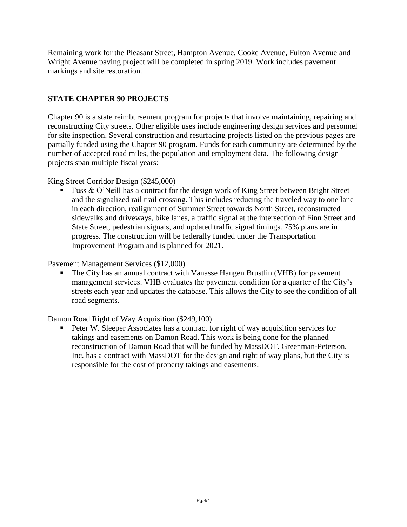Remaining work for the Pleasant Street, Hampton Avenue, Cooke Avenue, Fulton Avenue and Wright Avenue paving project will be completed in spring 2019. Work includes pavement markings and site restoration.

# **STATE CHAPTER 90 PROJECTS**

Chapter 90 is a state reimbursement program for projects that involve maintaining, repairing and reconstructing City streets. Other eligible uses include engineering design services and personnel for site inspection. Several construction and resurfacing projects listed on the previous pages are partially funded using the Chapter 90 program. Funds for each community are determined by the number of accepted road miles, the population and employment data. The following design projects span multiple fiscal years:

#### King Street Corridor Design (\$245,000)

Fuss & O'Neill has a contract for the design work of King Street between Bright Street and the signalized rail trail crossing. This includes reducing the traveled way to one lane in each direction, realignment of Summer Street towards North Street, reconstructed sidewalks and driveways, bike lanes, a traffic signal at the intersection of Finn Street and State Street, pedestrian signals, and updated traffic signal timings. 75% plans are in progress. The construction will be federally funded under the Transportation Improvement Program and is planned for 2021.

Pavement Management Services (\$12,000)

 The City has an annual contract with Vanasse Hangen Brustlin (VHB) for pavement management services. VHB evaluates the pavement condition for a quarter of the City's streets each year and updates the database. This allows the City to see the condition of all road segments.

Damon Road Right of Way Acquisition (\$249,100)

**Peter W. Sleeper Associates has a contract for right of way acquisition services for** takings and easements on Damon Road. This work is being done for the planned reconstruction of Damon Road that will be funded by MassDOT. Greenman-Peterson, Inc. has a contract with MassDOT for the design and right of way plans, but the City is responsible for the cost of property takings and easements.